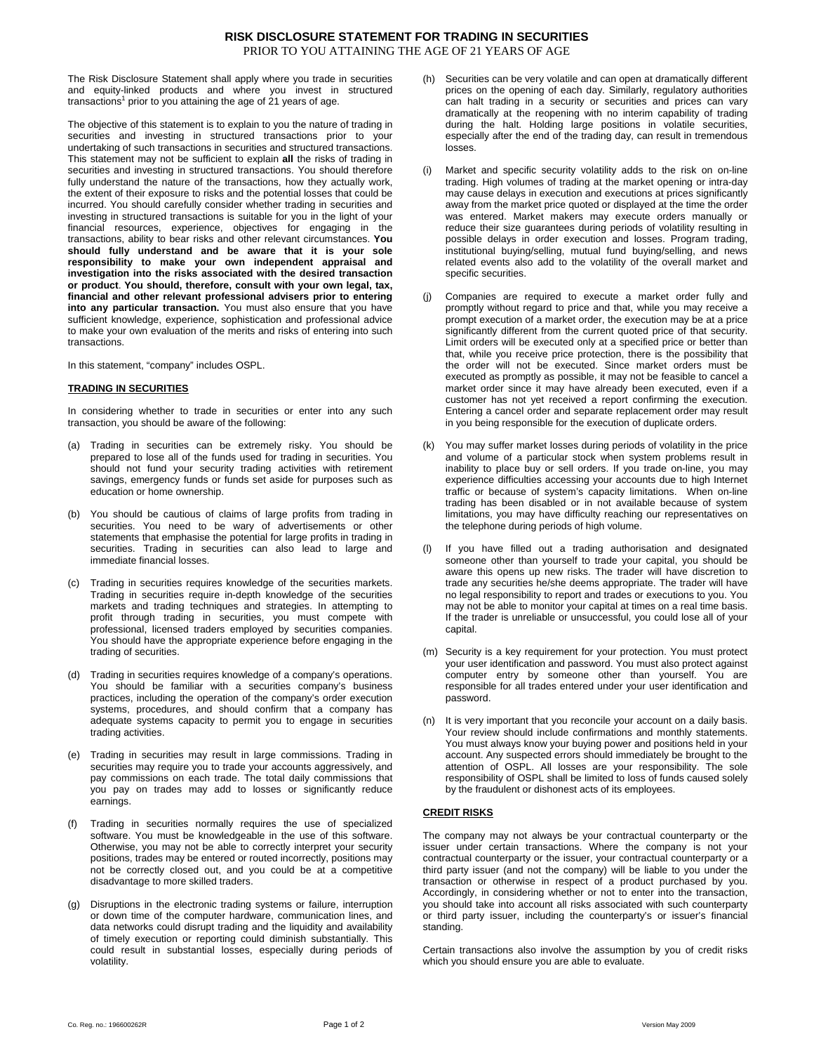The Risk Disclosure Statement shall apply where you trade in securities and equity-linked products and where you invest in structured transactions<sup>1</sup> prior to you attaining the age of 21 years of age.

The objective of this statement is to explain to you the nature of trading in securities and investing in structured transactions prior to your undertaking of such transactions in securities and structured transactions. This statement may not be sufficient to explain **all** the risks of trading in securities and investing in structured transactions. You should therefore fully understand the nature of the transactions, how they actually work, the extent of their exposure to risks and the potential losses that could be incurred. You should carefully consider whether trading in securities and investing in structured transactions is suitable for you in the light of your financial resources, experience, objectives for engaging in the transactions, ability to bear risks and other relevant circumstances. **You should fully understand and be aware that it is your sole responsibility to make your own independent appraisal and investigation into the risks associated with the desired transaction or product**. **You should, therefore, consult with your own legal, tax, financial and other relevant professional advisers prior to entering into any particular transaction.** You must also ensure that you have sufficient knowledge, experience, sophistication and professional advice to make your own evaluation of the merits and risks of entering into such transactions.

In this statement, "company" includes OSPL.

### **TRADING IN SECURITIES**

In considering whether to trade in securities or enter into any such transaction, you should be aware of the following:

- (a) Trading in securities can be extremely risky. You should be prepared to lose all of the funds used for trading in securities. You should not fund your security trading activities with retirement savings, emergency funds or funds set aside for purposes such as education or home ownership.
- (b) You should be cautious of claims of large profits from trading in securities. You need to be wary of advertisements or other statements that emphasise the potential for large profits in trading in securities. Trading in securities can also lead to large and immediate financial losses.
- (c) Trading in securities requires knowledge of the securities markets. Trading in securities require in-depth knowledge of the securities markets and trading techniques and strategies. In attempting to profit through trading in securities, you must compete with professional, licensed traders employed by securities companies. You should have the appropriate experience before engaging in the trading of securities.
- (d) Trading in securities requires knowledge of a company's operations. You should be familiar with a securities company's business practices, including the operation of the company's order execution systems, procedures, and should confirm that a company has adequate systems capacity to permit you to engage in securities trading activities.
- (e) Trading in securities may result in large commissions. Trading in securities may require you to trade your accounts aggressively, and pay commissions on each trade. The total daily commissions that you pay on trades may add to losses or significantly reduce earnings.
- (f) Trading in securities normally requires the use of specialized software. You must be knowledgeable in the use of this software. Otherwise, you may not be able to correctly interpret your security positions, trades may be entered or routed incorrectly, positions may not be correctly closed out, and you could be at a competitive disadvantage to more skilled traders.
- (g) Disruptions in the electronic trading systems or failure, interruption or down time of the computer hardware, communication lines, and data networks could disrupt trading and the liquidity and availability of timely execution or reporting could diminish substantially. This could result in substantial losses, especially during periods of volatility.
- (h) Securities can be very volatile and can open at dramatically different prices on the opening of each day. Similarly, regulatory authorities can halt trading in a security or securities and prices can vary dramatically at the reopening with no interim capability of trading during the halt. Holding large positions in volatile securities, especially after the end of the trading day, can result in tremendous losses.
- (i) Market and specific security volatility adds to the risk on on-line trading. High volumes of trading at the market opening or intra-day may cause delays in execution and executions at prices significantly away from the market price quoted or displayed at the time the order was entered. Market makers may execute orders manually or reduce their size guarantees during periods of volatility resulting in possible delays in order execution and losses. Program trading, institutional buying/selling, mutual fund buying/selling, and news related events also add to the volatility of the overall market and specific securities.
- Companies are required to execute a market order fully and promptly without regard to price and that, while you may receive a prompt execution of a market order, the execution may be at a price significantly different from the current quoted price of that security. Limit orders will be executed only at a specified price or better than that, while you receive price protection, there is the possibility that the order will not be executed. Since market orders must be executed as promptly as possible, it may not be feasible to cancel a market order since it may have already been executed, even if a customer has not yet received a report confirming the execution. Entering a cancel order and separate replacement order may result in you being responsible for the execution of duplicate orders.
- You may suffer market losses during periods of volatility in the price and volume of a particular stock when system problems result in inability to place buy or sell orders. If you trade on-line, you may experience difficulties accessing your accounts due to high Internet traffic or because of system's capacity limitations. When on-line trading has been disabled or in not available because of system limitations, you may have difficulty reaching our representatives on the telephone during periods of high volume.
- (l) If you have filled out a trading authorisation and designated someone other than yourself to trade your capital, you should be aware this opens up new risks. The trader will have discretion to trade any securities he/she deems appropriate. The trader will have no legal responsibility to report and trades or executions to you. You may not be able to monitor your capital at times on a real time basis. If the trader is unreliable or unsuccessful, you could lose all of your capital.
- (m) Security is a key requirement for your protection. You must protect your user identification and password. You must also protect against computer entry by someone other than yourself. You are responsible for all trades entered under your user identification and password.
- (n) It is very important that you reconcile your account on a daily basis. Your review should include confirmations and monthly statements. You must always know your buying power and positions held in your account. Any suspected errors should immediately be brought to the attention of OSPL. All losses are your responsibility. The sole responsibility of OSPL shall be limited to loss of funds caused solely by the fraudulent or dishonest acts of its employees.

### **CREDIT RISKS**

The company may not always be your contractual counterparty or the issuer under certain transactions. Where the company is not your contractual counterparty or the issuer, your contractual counterparty or a third party issuer (and not the company) will be liable to you under the transaction or otherwise in respect of a product purchased by you. Accordingly, in considering whether or not to enter into the transaction, you should take into account all risks associated with such counterparty or third party issuer, including the counterparty's or issuer's financial standing.

Certain transactions also involve the assumption by you of credit risks which you should ensure you are able to evaluate.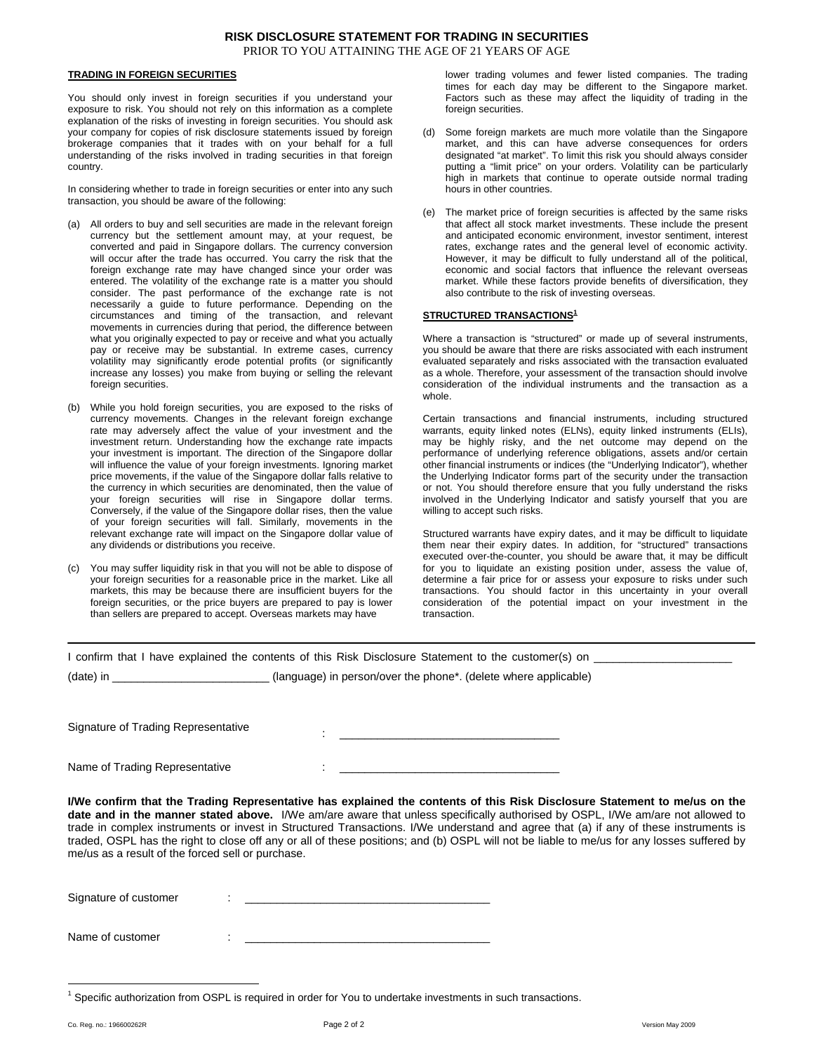## **TRADING IN FOREIGN SECURITIES**

You should only invest in foreign securities if you understand your exposure to risk. You should not rely on this information as a complete explanation of the risks of investing in foreign securities. You should ask your company for copies of risk disclosure statements issued by foreign brokerage companies that it trades with on your behalf for a full understanding of the risks involved in trading securities in that foreign country.

In considering whether to trade in foreign securities or enter into any such transaction, you should be aware of the following:

- (a) All orders to buy and sell securities are made in the relevant foreign currency but the settlement amount may, at your request, be converted and paid in Singapore dollars. The currency conversion will occur after the trade has occurred. You carry the risk that the foreign exchange rate may have changed since your order was entered. The volatility of the exchange rate is a matter you should consider. The past performance of the exchange rate is not necessarily a guide to future performance. Depending on the circumstances and timing of the transaction, and relevant movements in currencies during that period, the difference between what you originally expected to pay or receive and what you actually pay or receive may be substantial. In extreme cases, currency volatility may significantly erode potential profits (or significantly increase any losses) you make from buying or selling the relevant foreign securities.
- (b) While you hold foreign securities, you are exposed to the risks of currency movements. Changes in the relevant foreign exchange rate may adversely affect the value of your investment and the investment return. Understanding how the exchange rate impacts your investment is important. The direction of the Singapore dollar will influence the value of your foreign investments. Ignoring market price movements, if the value of the Singapore dollar falls relative to the currency in which securities are denominated, then the value of your foreign securities will rise in Singapore dollar terms. Conversely, if the value of the Singapore dollar rises, then the value of your foreign securities will fall. Similarly, movements in the relevant exchange rate will impact on the Singapore dollar value of any dividends or distributions you receive.
- (c) You may suffer liquidity risk in that you will not be able to dispose of your foreign securities for a reasonable price in the market. Like all markets, this may be because there are insufficient buyers for the foreign securities, or the price buyers are prepared to pay is lower than sellers are prepared to accept. Overseas markets may have

lower trading volumes and fewer listed companies. The trading times for each day may be different to the Singapore market. Factors such as these may affect the liquidity of trading in the foreign securities.

- (d) Some foreign markets are much more volatile than the Singapore market, and this can have adverse consequences for orders designated "at market". To limit this risk you should always consider putting a "limit price" on your orders. Volatility can be particularly high in markets that continue to operate outside normal trading hours in other countries.
- (e) The market price of foreign securities is affected by the same risks that affect all stock market investments. These include the present and anticipated economic environment, investor sentiment, interest rates, exchange rates and the general level of economic activity. However, it may be difficult to fully understand all of the political, economic and social factors that influence the relevant overseas market. While these factors provide benefits of diversification, they also contribute to the risk of investing overseas.

### **STRUCTURED TRANSACTIONS<sup>1</sup>**

Where a transaction is "structured" or made up of several instruments, you should be aware that there are risks associated with each instrument evaluated separately and risks associated with the transaction evaluated as a whole. Therefore, your assessment of the transaction should involve consideration of the individual instruments and the transaction as a whole.

Certain transactions and financial instruments, including structured warrants, equity linked notes (ELNs), equity linked instruments (ELIs), may be highly risky, and the net outcome may depend on the performance of underlying reference obligations, assets and/or certain other financial instruments or indices (the "Underlying Indicator"), whether the Underlying Indicator forms part of the security under the transaction or not. You should therefore ensure that you fully understand the risks involved in the Underlying Indicator and satisfy yourself that you are willing to accept such risks.

Structured warrants have expiry dates, and it may be difficult to liquidate them near their expiry dates. In addition, for "structured" transactions executed over-the-counter, you should be aware that, it may be difficult for you to liquidate an existing position under, assess the value of, determine a fair price for or assess your exposure to risks under such transactions. You should factor in this uncertainty in your overall consideration of the potential impact on your investment in the transaction.

|                                                   | I confirm that I have explained the contents of this Risk Disclosure Statement to the customer(s) on<br>(date) in _____________________________(language) in person/over the phone*. (delete where applicable)                                                                                                                                                                                                                                                                                                                                    |
|---------------------------------------------------|---------------------------------------------------------------------------------------------------------------------------------------------------------------------------------------------------------------------------------------------------------------------------------------------------------------------------------------------------------------------------------------------------------------------------------------------------------------------------------------------------------------------------------------------------|
| Signature of Trading Representative               | <u> 1989 - Johann Harrison, mars andrew Maria (b. 1989)</u>                                                                                                                                                                                                                                                                                                                                                                                                                                                                                       |
| Name of Trading Representative                    | the contract of the contract of the contract of the contract of the contract of the contract of the                                                                                                                                                                                                                                                                                                                                                                                                                                               |
| me/us as a result of the forced sell or purchase. | I/We confirm that the Trading Representative has explained the contents of this Risk Disclosure Statement to me/us on the<br>date and in the manner stated above. I/We am/are aware that unless specifically authorised by OSPL, I/We am/are not allowed to<br>trade in complex instruments or invest in Structured Transactions. I/We understand and agree that (a) if any of these instruments is<br>traded, OSPL has the right to close off any or all of these positions; and (b) OSPL will not be liable to me/us for any losses suffered by |
| Signature of customer                             | <u> 1986 - Johann John Stein, maritan basar mars an deus an deus an deus an deus an deus an deus an deus an deus</u>                                                                                                                                                                                                                                                                                                                                                                                                                              |

Name of customer

 $\overline{a}$ 1 Specific authorization from OSPL is required in order for You to undertake investments in such transactions.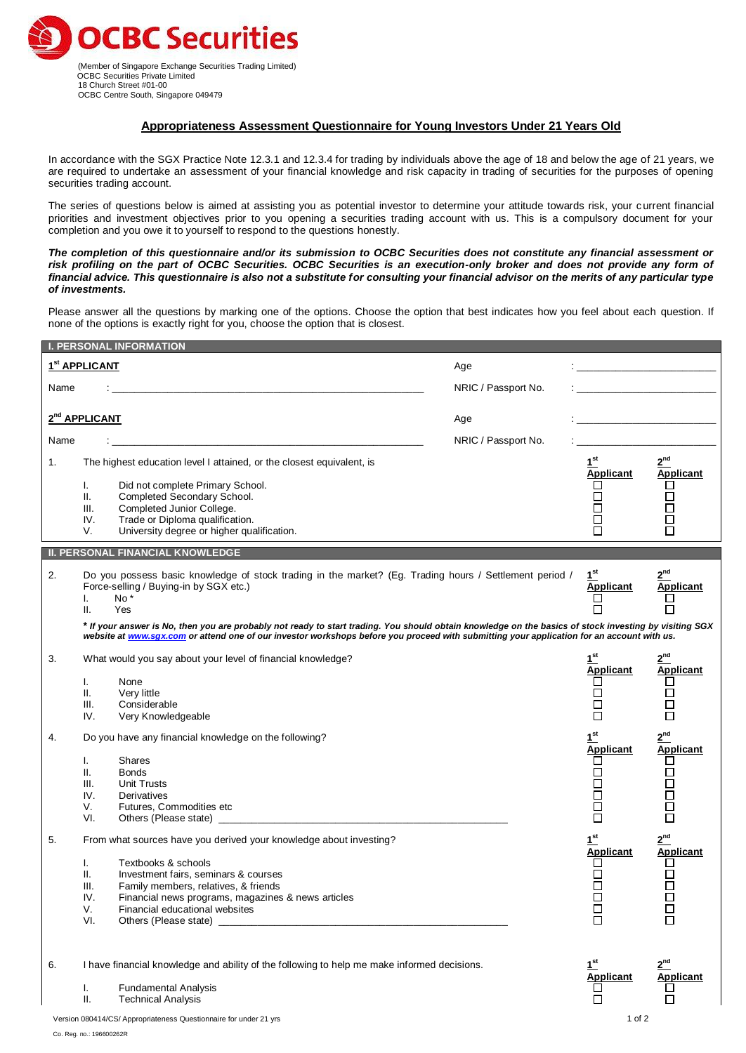

 (Member of Singapore Exchange Securities Trading Limited) OCBC Securities Private Limited 18 Church Street #01-00 OCBC Centre South, Singapore 049479

# **Appropriateness Assessment Questionnaire for Young Investors Under 21 Years Old**

In accordance with the SGX Practice Note 12.3.1 and 12.3.4 for trading by individuals above the age of 18 and below the age of 21 years, we are required to undertake an assessment of your financial knowledge and risk capacity in trading of securities for the purposes of opening securities trading account.

The series of questions below is aimed at assisting you as potential investor to determine your attitude towards risk, your current financial priorities and investment objectives prior to you opening a securities trading account with us. This is a compulsory document for your completion and you owe it to yourself to respond to the questions honestly.

*The completion of this questionnaire and/or its submission to OCBC Securities does not constitute any financial assessment or risk profiling on the part of OCBC Securities. OCBC Securities is an execution-only broker and does not provide any form of financial advice. This questionnaire is also not a substitute for consulting your financial advisor on the merits of any particular type of investments.*

Please answer all the questions by marking one of the options. Choose the option that best indicates how you feel about each question. If none of the options is exactly right for you, choose the option that is closest.

|      | <b>I. PERSONAL INFORMATION</b>                                                                                                                         |                     |                       |                                                  |
|------|--------------------------------------------------------------------------------------------------------------------------------------------------------|---------------------|-----------------------|--------------------------------------------------|
|      | 1 <sup>st</sup> APPLICANT                                                                                                                              | Age                 |                       |                                                  |
| Name |                                                                                                                                                        | NRIC / Passport No. |                       |                                                  |
|      | 2 <sup>nd</sup> APPLICANT                                                                                                                              | Age                 |                       | <u> 1990 - Johann Stein, mars and de Branden</u> |
| Name | <u> 1989 - Johann Barbara, martxa alemaniar a</u>                                                                                                      | NRIC / Passport No. |                       |                                                  |
|      |                                                                                                                                                        |                     | 1 <sup>st</sup>       | $2^{nd}$                                         |
| 1.   | The highest education level I attained, or the closest equivalent, is                                                                                  |                     | <b>Applicant</b>      | <b>Applicant</b>                                 |
|      | Did not complete Primary School.<br>I.<br>Completed Secondary School.<br>ΙΙ.                                                                           |                     | $\Box$                | ப<br>□                                           |
|      | Completed Junior College.<br>III.                                                                                                                      |                     | □                     | □                                                |
|      | Trade or Diploma qualification.<br>IV.                                                                                                                 |                     | $\Box$                | □                                                |
|      | University degree or higher qualification.<br>V.                                                                                                       |                     | $\Box$                | □                                                |
|      |                                                                                                                                                        |                     |                       |                                                  |
|      | <b>II. PERSONAL FINANCIAL KNOWLEDGE</b>                                                                                                                |                     |                       |                                                  |
| 2.   | Do you possess basic knowledge of stock trading in the market? (Eg. Trading hours / Settlement period /                                                |                     | 1 <sup>st</sup>       | 2 <sup>nd</sup>                                  |
|      | Force-selling / Buying-in by SGX etc.)<br>No*<br>I.                                                                                                    |                     | <b>Applicant</b>      | <b>Applicant</b>                                 |
|      | Yes<br>Ш.                                                                                                                                              |                     |                       | П                                                |
|      | * If your answer is No, then you are probably not ready to start trading. You should obtain knowledge on the basics of stock investing by visiting SGX |                     |                       |                                                  |
|      | website at www.sqx.com or attend one of our investor workshops before you proceed with submitting your application for an account with us.             |                     |                       |                                                  |
| 3.   | What would you say about your level of financial knowledge?                                                                                            |                     | 1 <sup>st</sup>       | $2^{nd}$                                         |
|      |                                                                                                                                                        |                     | Applicant             | <b>Applicant</b>                                 |
|      | None<br>I.<br>ΙΙ.<br>Very little                                                                                                                       |                     | □<br>$\Box$           | ப<br>$\Box$                                      |
|      | III.<br>Considerable                                                                                                                                   |                     | $\Box$                | $\Box$                                           |
|      | IV.<br>Very Knowledgeable                                                                                                                              |                     | $\Box$                | $\Box$                                           |
|      |                                                                                                                                                        |                     |                       |                                                  |
| 4.   | Do you have any financial knowledge on the following?                                                                                                  |                     | $1^{\text{st}}$       | $2^{nd}$                                         |
|      | Shares<br>I.                                                                                                                                           |                     | <b>Applicant</b><br>ப | <b>Applicant</b><br>ப                            |
|      | ΙΙ.<br><b>Bonds</b>                                                                                                                                    |                     | □                     |                                                  |
|      | III.<br><b>Unit Trusts</b>                                                                                                                             |                     | $\Box$                | 00<br>00                                         |
|      | IV.<br>Derivatives                                                                                                                                     |                     | $\Box$                |                                                  |
|      | V.<br>Futures, Commodities etc                                                                                                                         |                     | $\Box$                | $\Box$                                           |
|      | VI.                                                                                                                                                    |                     | П                     | $\Box$                                           |
| 5.   | From what sources have you derived your knowledge about investing?                                                                                     |                     | 1 <sup>st</sup>       | $2^{nd}$                                         |
|      | Textbooks & schools                                                                                                                                    |                     | <b>Applicant</b>      | <b>Applicant</b>                                 |
|      | I.<br>Investment fairs, seminars & courses<br>Ш.                                                                                                       |                     | ப<br>□                | ⊔<br>□                                           |
|      | Ш.<br>Family members, relatives, & friends                                                                                                             |                     | $\Box$                | □                                                |
|      | IV.<br>Financial news programs, magazines & news articles                                                                                              |                     | П                     | $\Box$                                           |
|      | V.<br>Financial educational websites                                                                                                                   |                     | ப                     | Ц                                                |
|      | VI.<br>Others (Please state)                                                                                                                           |                     | $\Box$                | $\Box$                                           |
|      |                                                                                                                                                        |                     |                       |                                                  |
|      | I have financial knowledge and ability of the following to help me make informed decisions.                                                            |                     | 1 <sup>st</sup>       | 2 <sup>nd</sup>                                  |
| 6.   |                                                                                                                                                        |                     | <b>Applicant</b>      | <b>Applicant</b>                                 |
|      | <b>Fundamental Analysis</b><br>I.                                                                                                                      |                     |                       | ப                                                |
|      | ΙΙ.<br><b>Technical Analysis</b>                                                                                                                       |                     |                       | $\Box$                                           |
|      | Version 080414/CS/ Appropriateness Questionnaire for under 21 yrs                                                                                      |                     | 1 of 2                |                                                  |